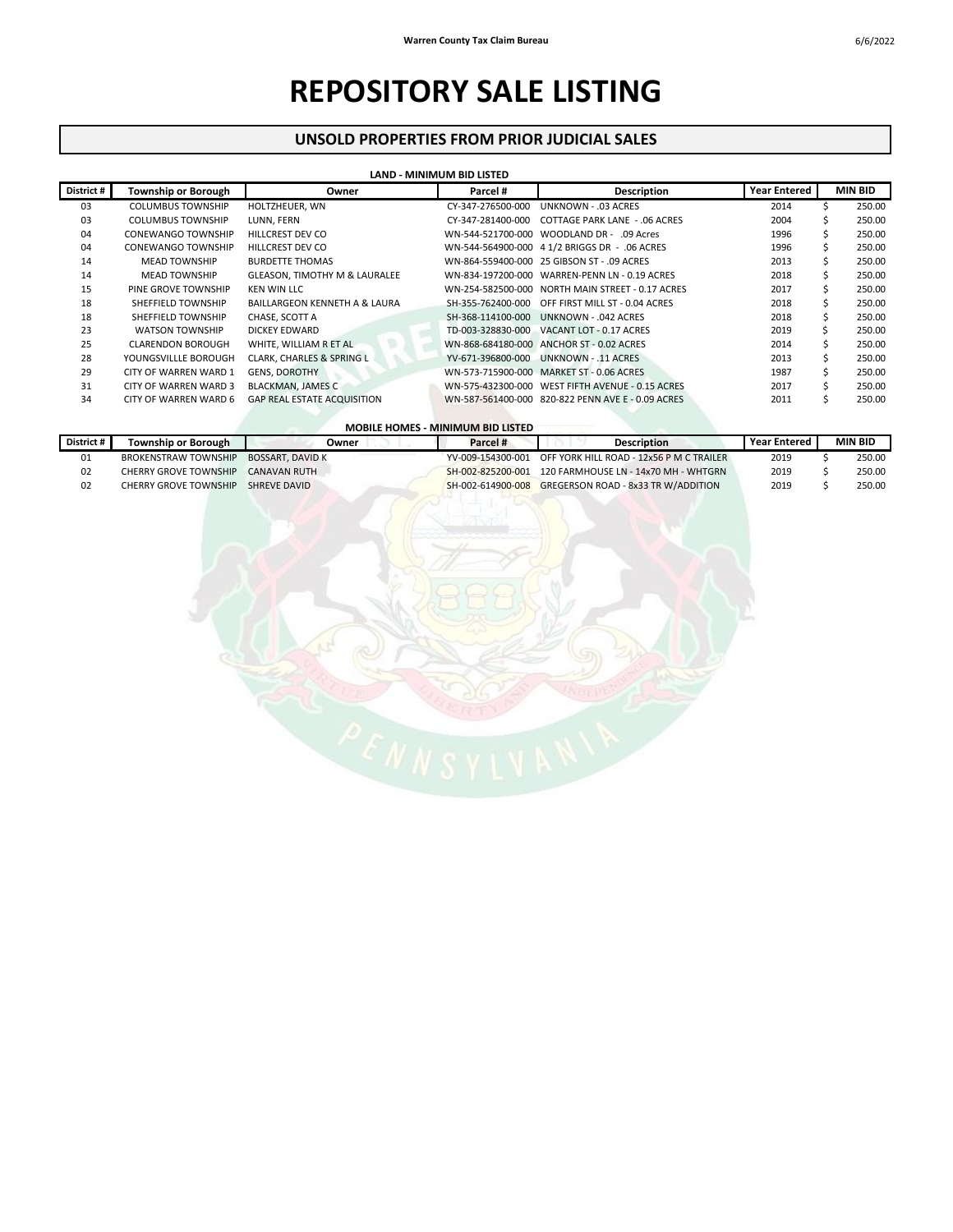## **REPOSITORY SALE LISTING**

## **UNSOLD PROPERTIES FROM PRIOR JUDICIAL SALES**

| LAND - MINIMUM BID LISTED |                            |                                          |                   |                                                   |                     |    |                |  |  |
|---------------------------|----------------------------|------------------------------------------|-------------------|---------------------------------------------------|---------------------|----|----------------|--|--|
| District #                | <b>Township or Borough</b> | Owner                                    | Parcel #          | <b>Description</b>                                | <b>Year Entered</b> |    | <b>MIN BID</b> |  |  |
| 03                        | <b>COLUMBUS TOWNSHIP</b>   | HOLTZHEUER, WN                           | CY-347-276500-000 | <b>UNKNOWN - .03 ACRES</b>                        | 2014                |    | 250.00         |  |  |
| 03                        | <b>COLUMBUS TOWNSHIP</b>   | LUNN. FERN                               | CY-347-281400-000 | <b>COTTAGE PARK LANE - .06 ACRES</b>              | 2004                |    | 250.00         |  |  |
| 04                        | <b>CONEWANGO TOWNSHIP</b>  | <b>HILLCREST DEV CO</b>                  | WN-544-521700-000 | WOODLAND DR - .09 Acres                           | 1996                | S. | 250.00         |  |  |
| 04                        | <b>CONEWANGO TOWNSHIP</b>  | <b>HILLCREST DEV CO</b>                  |                   | WN-544-564900-000 4 1/2 BRIGGS DR - .06 ACRES     | 1996                |    | 250.00         |  |  |
| 14                        | <b>MEAD TOWNSHIP</b>       | <b>BURDETTE THOMAS</b>                   |                   | WN-864-559400-000 25 GIBSON ST - .09 ACRES        | 2013                |    | 250.00         |  |  |
| 14                        | <b>MEAD TOWNSHIP</b>       | <b>GLEASON. TIMOTHY M &amp; LAURALEE</b> |                   | WN-834-197200-000 WARREN-PENN LN - 0.19 ACRES     | 2018                |    | 250.00         |  |  |
| 15                        | PINE GROVE TOWNSHIP        | <b>KEN WIN LLC</b>                       |                   | WN-254-582500-000 NORTH MAIN STREET - 0.17 ACRES  | 2017                |    | 250.00         |  |  |
| 18                        | SHEFFIELD TOWNSHIP         | BAILLARGEON KENNETH A & LAURA            |                   | SH-355-762400-000 OFF FIRST MILL ST - 0.04 ACRES  | 2018                |    | 250.00         |  |  |
| 18                        | SHEFFIELD TOWNSHIP         | CHASE, SCOTT A                           | SH-368-114100-000 | UNKNOWN - .042 ACRES                              | 2018                | ς. | 250.00         |  |  |
| 23                        | <b>WATSON TOWNSHIP</b>     | DICKEY EDWARD                            |                   | TD-003-328830-000 VACANT LOT - 0.17 ACRES         | 2019                |    | 250.00         |  |  |
| 25                        | <b>CLARENDON BOROUGH</b>   | WHITE. WILLIAM R ET AL                   |                   | WN-868-684180-000 ANCHOR ST - 0.02 ACRES          | 2014                |    | 250.00         |  |  |
| 28                        | YOUNGSVILLLE BOROUGH       | CLARK, CHARLES & SPRING L                |                   | YV-671-396800-000 UNKNOWN - .11 ACRES             | 2013                |    | 250.00         |  |  |
| 29                        | CITY OF WARREN WARD 1      | <b>GENS, DOROTHY</b>                     |                   | WN-573-715900-000 MARKET ST - 0.06 ACRES          | 1987                |    | 250.00         |  |  |
| 31                        | CITY OF WARREN WARD 3      | BLACKMAN, JAMES C                        |                   | WN-575-432300-000 WEST FIFTH AVENUE - 0.15 ACRES  | 2017                |    | 250.00         |  |  |
| 34                        | CITY OF WARREN WARD 6      | <b>GAP REAL ESTATE ACQUISITION</b>       |                   | WN-587-561400-000 820-822 PENN AVE E - 0.09 ACRES | 2011                |    | 250.00         |  |  |

| <b>MOBILE HOMES - MINIMUM BID LISTED</b> |                              |                         |          |                                                            |                     |         |  |
|------------------------------------------|------------------------------|-------------------------|----------|------------------------------------------------------------|---------------------|---------|--|
| District #                               | <b>Township or Borough</b>   | Owner                   | Parcel # | <b>Description</b>                                         | <b>Year Entered</b> | MIN BID |  |
| 01                                       | <b>BROKENSTRAW TOWNSHIP</b>  | <b>BOSSART, DAVID K</b> |          | YV-009-154300-001 OFF YORK HILL ROAD - 12x56 P M C TRAILER | 2019                | 250.00  |  |
| 02                                       | <b>CHERRY GROVE TOWNSHIP</b> | <b>CANAVAN RUTH</b>     |          | SH-002-825200-001 120 FARMHOUSE LN - 14x70 MH - WHTGRN     | 2019                | 250.00  |  |
| 02                                       | <b>CHERRY GROVE TOWNSHIP</b> | SHREVE DAVID            |          | SH-002-614900-008 GREGERSON ROAD - 8x33 TR W/ADDITION      | 2019                | 250.00  |  |
|                                          |                              |                         |          |                                                            |                     |         |  |